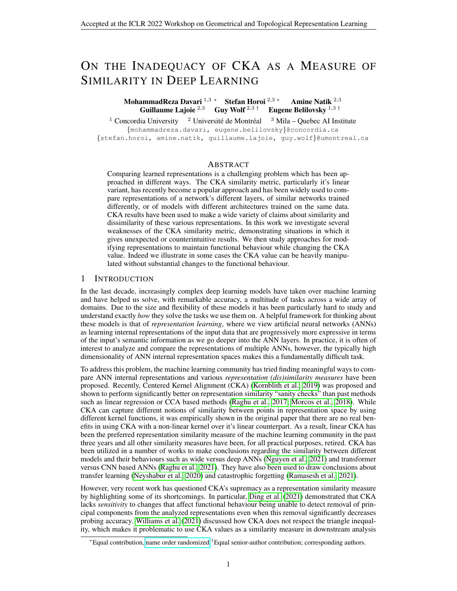# ON THE INADEQUACY OF CKA AS A MEASURE OF SIMILARITY IN DEEP LEARNING

# MohammadReza Davari <sup>1,3</sup> ∗ Stefan Horoi <sup>2,3</sup> ∗ Amine Natik <sup>2,3</sup> Guillaume Lajoie  $^{2,3}$  Guy Wolf  $^{2,3}$  † Eugene Belilovsky  $^{1,3}$  †

<sup>1</sup> Concordia University <sup>2</sup> Université de Montréal <sup>3</sup> Mila – Quebec AI Institute {mohammadreza.davari, eugene.belilovsky}@concordia.ca {stefan.horoi, amine.natik, guillaume.lajoie, guy.wolf}@umontreal.ca

# ABSTRACT

Comparing learned representations is a challenging problem which has been approached in different ways. The CKA similarity metric, particularly it's linear variant, has recently become a popular approach and has been widely used to compare representations of a network's different layers, of similar networks trained differently, or of models with different architectures trained on the same data. CKA results have been used to make a wide variety of claims about similarity and dissimilarity of these various representations. In this work we investigate several weaknesses of the CKA similarity metric, demonstrating situations in which it gives unexpected or counterintuitive results. We then study approaches for modifying representations to maintain functional behaviour while changing the CKA value. Indeed we illustrate in some cases the CKA value can be heavily manipulated without substantial changes to the functional behaviour.

# 1 INTRODUCTION

In the last decade, increasingly complex deep learning models have taken over machine learning and have helped us solve, with remarkable accuracy, a multitude of tasks across a wide array of domains. Due to the size and flexibility of these models it has been particularly hard to study and understand exactly *how* they solve the tasks we use them on. A helpful framework for thinking about these models is that of *representation learning*, where we view artificial neural networks (ANNs) as learning internal representations of the input data that are progressively more expressive in terms of the input's semantic information as we go deeper into the ANN layers. In practice, it is often of interest to analyze and compare the representations of multiple ANNs, however, the typically high dimensionality of ANN internal representation spaces makes this a fundamentally difficult task.

To address this problem, the machine learning community has tried finding meaningful ways to compare ANN internal representations and various *representation (dis)similarity measures* have been proposed. Recently, Centered Kernel Alignment (CKA) [\(Kornblith et al., 2019\)](#page-4-0) was proposed and shown to perform significantly better on representation similarity "sanity checks" than past methods such as linear regression or CCA based methods [\(Raghu et al., 2017;](#page-4-1) [Morcos et al., 2018\)](#page-4-2). While CKA can capture different notions of similarity between points in representation space by using different kernel functions, it was empirically shown in the original paper that there are no real benefits in using CKA with a non-linear kernel over it's linear counterpart. As a result, linear CKA has been the preferred representation similarity measure of the machine learning community in the past three years and all other similarity measures have been, for all practical purposes, retired. CKA has been utilized in a number of works to make conclusions regarding the similarity between different models and their behaviours such as wide versus deep ANNs [\(Nguyen et al., 2021\)](#page-4-3) and transformer versus CNN based ANNs [\(Raghu et al., 2021\)](#page-4-4). They have also been used to draw conclusions about transfer learning [\(Neyshabur et al., 2020\)](#page-4-5) and catastrophic forgetting [\(Ramasesh et al., 2021\)](#page-5-0).

However, very recent work has questioned CKA's supremacy as a representation similarity measure by highlighting some of its shortcomings. In particular, [Ding et al.](#page-4-6) [\(2021\)](#page-4-6) demonstrated that CKA lacks *sensitivity* to changes that affect functional behaviour being unable to detect removal of principal components from the analyzed representations even when this removal significantly decreases probing accuracy. [Williams et al.](#page-5-1) [\(2021\)](#page-5-1) discussed how CKA does not respect the triangle inequality, which makes it problematic to use CKA values as a similarity measure in downstream analysis

<sup>∗</sup>Equal contribution, [name order randomized.](https://www.aeaweb.org/journals/policies/random-author-order/search?RandomAuthorsSearch%5Bsearch%5D=0VCOUgohcqvg)†Equal senior-author contribution; corresponding authors.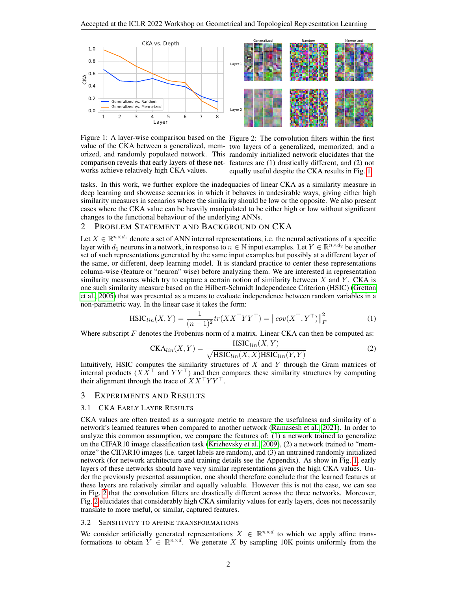<span id="page-1-0"></span>

Figure 1: A layer-wise comparison based on the Figure 2: The convolution filters within the first value of the CKA between a generalized, mem-two layers of a generalized, memorized, and a orized, and randomly populated network. This randomly initialized network elucidates that the comparison reveals that early layers of these net-features are (1) drastically different, and (2) not works achieve relatively high CKA values.

equally useful despite the CKA results in Fig. [1](#page-1-0)

tasks. In this work, we further explore the inadequacies of linear CKA as a similarity measure in deep learning and showcase scenarios in which it behaves in undesirable ways, giving either high similarity measures in scenarios where the similarity should be low or the opposite. We also present cases where the CKA value can be heavily manipulated to be either high or low without significant changes to the functional behaviour of the underlying ANNs.

#### 2 PROBLEM STATEMENT AND BACKGROUND ON CKA

Let  $X \in \mathbb{R}^{n \times d_1}$  denote a set of ANN internal representations, i.e. the neural activations of a specific layer with  $d_1$  neurons in a network, in response to  $n \in \mathbb{N}$  input examples. Let  $Y \in \mathbb{R}^{n \times d_2}$  be another set of such representations generated by the same input examples but possibly at a different layer of the same, or different, deep learning model. It is standard practice to center these representations column-wise (feature or "neuron" wise) before analyzing them. We are interested in representation similarity measures which try to capture a certain notion of similarity between  $X$  and  $Y$ . CKA is one such similarity measure based on the Hilbert-Schmidt Independence Criterion (HSIC) [\(Gretton](#page-4-7) [et al., 2005\)](#page-4-7) that was presented as a means to evaluate independence between random variables in a non-parametric way. In the linear case it takes the form:

$$
\text{HSIC}_{lin}(X, Y) = \frac{1}{(n-1)^2} tr(X X^\top Y Y^\top) = ||cov(X^\top, Y^\top)||_F^2
$$
 (1)

Where subscript  $F$  denotes the Frobenius norm of a matrix. Linear CKA can then be computed as:

$$
CKA_{lin}(X,Y) = \frac{\text{HSIC}_{lin}(X,Y)}{\sqrt{\text{HSIC}_{lin}(X,X)\text{HSIC}_{lin}(Y,Y)}}
$$
(2)

Intuitively, HSIC computes the similarity structures of  $X$  and  $Y$  through the Gram matrices of internal products ( $XX<sup>T</sup>$  and  $YY<sup>T</sup>$ ) and then compares these similarity structures by computing their alignment through the trace of  $XX<sup>T</sup>YY<sup>T</sup>$ .

#### <span id="page-1-1"></span>3 EXPERIMENTS AND RESULTS

## 3.1 CKA EARLY LAYER RESULTS

CKA values are often treated as a surrogate metric to measure the usefulness and similarity of a network's learned features when compared to another network [\(Ramasesh et al., 2021\)](#page-5-0). In order to analyze this common assumption, we compare the features of: (1) a network trained to generalize on the CIFAR10 image classification task [\(Krizhevsky et al., 2009\)](#page-4-8), (2) a network trained to "memorize" the CIFAR10 images (i.e. target labels are random), and (3) an untrained randomly initialized network (for network architecture and training details see the Appendix). As show in Fig. [1,](#page-1-0) early layers of these networks should have very similar representations given the high CKA values. Under the previously presented assumption, one should therefore conclude that the learned features at these layers are relatively similar and equally valuable. However this is not the case, we can see in Fig. [2](#page-1-0) that the convolution filters are drastically different across the three networks. Moreover, Fig. [2](#page-1-0) elucidates that considerably high CKA similarity values for early layers, does not necessarily translate to more useful, or similar, captured features.

#### 3.2 SENSITIVITY TO AFFINE TRANSFORMATIONS

We consider artificially generated representations  $X \in \mathbb{R}^{n \times d}$  to which we apply affine transformations to obtain  $\tilde{Y} \in \mathbb{R}^{n \times d}$ . We generate X by sampling 10K points uniformly from the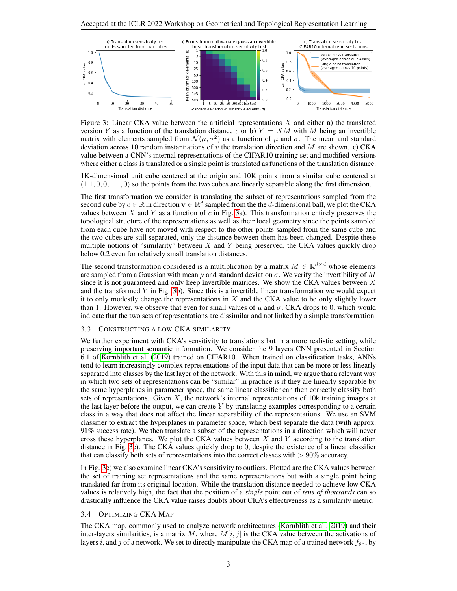<span id="page-2-0"></span>

Figure 3: Linear CKA value between the artificial representations  $X$  and either a) the translated version Y as a function of the translation distance c or b)  $Y = XM$  with M being an invertible matrix with elements sampled from  $\mathcal{N}(\mu, \sigma^2)$  as a function of  $\mu$  and  $\sigma$ . The mean and standard deviation across 10 random instantiations of v the translation direction and  $M$  are shown. c) CKA value between a CNN's internal representations of the CIFAR10 training set and modified versions where either a class is translated or a single point is translated as functions of the translation distance.

1K-dimensional unit cube centered at the origin and 10K points from a similar cube centered at  $(1.1, 0, 0, \ldots, 0)$  so the points from the two cubes are linearly separable along the first dimension.

The first transformation we consider is translating the subset of representations sampled from the second cube by  $c \in \mathbb{R}$  in direction  $\mathbf{v} \in \mathbb{R}^d$  sampled from the the d-dimensional ball, we plot the CKA values between  $X$  and  $Y$  as a function of  $c$  in Fig. [3a](#page-2-0)). This transformation entirely preserves the topological structure of the representations as well as their local geometry since the points sampled from each cube have not moved with respect to the other points sampled from the same cube and the two cubes are still separated, only the distance between them has been changed. Despite these multiple notions of "similarity" between  $X$  and  $Y$  being preserved, the CKA values quickly drop below 0.2 even for relatively small translation distances.

The second transformation considered is a multiplication by a matrix  $M \in \mathbb{R}^{d \times d}$  whose elements are sampled from a Gaussian with mean  $\mu$  and standard deviation  $\sigma$ . We verify the invertibility of M since it is not guaranteed and only keep invertible matrices. We show the CKA values between  $X$ and the transformed  $Y$  in Fig. [3b](#page-2-0)). Since this is a invertible linear transformation we would expect it to only modestly change the representations in  $X$  and the CKA value to be only slightly lower than 1. However, we observe that even for small values of  $\mu$  and  $\sigma$ , CKA drops to 0, which would indicate that the two sets of representations are dissimilar and not linked by a simple transformation.

### 3.3 CONSTRUCTING A LOW CKA SIMILARITY

We further experiment with CKA's sensitivity to translations but in a more realistic setting, while preserving important semantic information. We consider the 9 layers CNN presented in Section 6.1 of [Kornblith et al.](#page-4-0) [\(2019\)](#page-4-0) trained on CIFAR10. When trained on classification tasks, ANNs tend to learn increasingly complex representations of the input data that can be more or less linearly separated into classes by the last layer of the network. With this in mind, we argue that a relevant way in which two sets of representations can be "similar" in practice is if they are linearly separable by the same hyperplanes in parameter space, the same linear classifier can then correctly classify both sets of representations. Given  $X$ , the network's internal representations of 10k training images at the last layer before the output, we can create Y by translating examples corresponding to a certain class in a way that does not affect the linear separability of the representations. We use an SVM classifier to extract the hyperplanes in parameter space, which best separate the data (with approx. 91% success rate). We then translate a subset of the representations in a direction which will never cross these hyperplanes. We plot the CKA values between  $X$  and  $Y$  according to the translation distance in Fig. [3c](#page-2-0)). The CKA values quickly drop to 0, despite the existence of a linear classifier that can classify both sets of representations into the correct classes with  $> 90\%$  accuracy.

In Fig. [3c](#page-2-0)) we also examine linear CKA's sensitivity to outliers. Plotted are the CKA values between the set of training set representations and the same representations but with a single point being translated far from its original location. While the translation distance needed to achieve low CKA values is relatively high, the fact that the position of a *single* point out of *tens of thousands* can so drastically influence the CKA value raises doubts about CKA's effectiveness as a similarity metric.

#### <span id="page-2-1"></span>3.4 OPTIMIZING CKA MAP

The CKA map, commonly used to analyze network architectures [\(Kornblith et al., 2019\)](#page-4-0) and their inter-layers similarities, is a matrix M, where  $M[i, j]$  is the CKA value between the activations of layers i, and j of a network. We set to directly manipulate the CKA map of a trained network  $f_{\theta^*}$ , by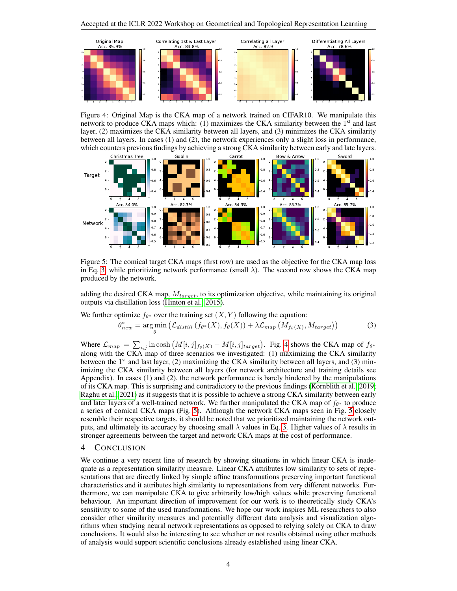<span id="page-3-1"></span>

Figure 4: Original Map is the CKA map of a network trained on CIFAR10. We manipulate this network to produce CKA maps which:  $(1)$  maximizes the CKA similarity between the  $1<sup>st</sup>$  and last layer, (2) maximizes the CKA similarity between all layers, and (3) minimizes the CKA similarity between all layers. In cases (1) and (2), the network experiences only a slight loss in performance, which counters previous findings by achieving a strong CKA similarity between early and late layers.

<span id="page-3-2"></span>

Figure 5: The comical target CKA maps (first row) are used as the objective for the CKA map loss in Eq. [3,](#page-3-0) while prioritizing network performance (small  $\lambda$ ). The second row shows the CKA map produced by the network.

adding the desired CKA map,  $M_{target}$ , to its optimization objective, while maintaining its original outputs via distillation loss [\(Hinton et al., 2015\)](#page-4-9).

We further optimize  $f_{\theta^*}$  over the training set  $(X, Y)$  following the equation:

<span id="page-3-0"></span>
$$
\theta_{new}^{*} = \arg\min_{\theta} \left( \mathcal{L}_{distill} \left( f_{\theta^{*}}(X), f_{\theta}(X) \right) + \lambda \mathcal{L}_{map} \left( M_{f_{\theta}(X)}, M_{target} \right) \right) \tag{3}
$$

Where  $\mathcal{L}_{map} = \sum_{i,j} \ln \cosh \left( M[i,j]_{f_{\theta}(X)} - M[i,j]_{target} \right)$ . Fig. [4](#page-3-1) shows the CKA map of  $f_{\theta^*}$ along with the CKA map of three scenarios we investigated: (1) maximizing the CKA similarity between the 1<sup>st</sup> and last layer, (2) maximizing the CKA similarity between all layers, and (3) minimizing the CKA similarity between all layers (for network architecture and training details see Appendix). In cases (1) and (2), the network performance is barely hindered by the manipulations of its CKA map. This is surprising and contradictory to the previous findings [\(Kornblith et al., 2019;](#page-4-0) [Raghu et al., 2021\)](#page-4-4) as it suggests that it is possible to achieve a strong CKA similarity between early and later layers of a well-trained network. We further manipulated the CKA map of  $f_{\theta*}$  to produce a series of comical CKA maps (Fig. [5\)](#page-3-2). Although the network CKA maps seen in Fig. [5](#page-3-2) closely resemble their respective targets, it should be noted that we prioritized maintaining the network outputs, and ultimately its accuracy by choosing small  $\lambda$  values in Eq. [3.](#page-3-0) Higher values of  $\lambda$  results in stronger agreements between the target and network CKA maps at the cost of performance.

## 4 CONCLUSION

We continue a very recent line of research by showing situations in which linear CKA is inadequate as a representation similarity measure. Linear CKA attributes low similarity to sets of representations that are directly linked by simple affine transformations preserving important functional characteristics and it attributes high similarity to representations from very different networks. Furthermore, we can manipulate CKA to give arbitrarily low/high values while preserving functional behaviour. An important direction of improvement for our work is to theoretically study CKA's sensitivity to some of the used transformations. We hope our work inspires ML researchers to also consider other similarity measures and potentially different data analysis and visualization algorithms when studying neural network representations as opposed to relying solely on CKA to draw conclusions. It would also be interesting to see whether or not results obtained using other methods of analysis would support scientific conclusions already established using linear CKA.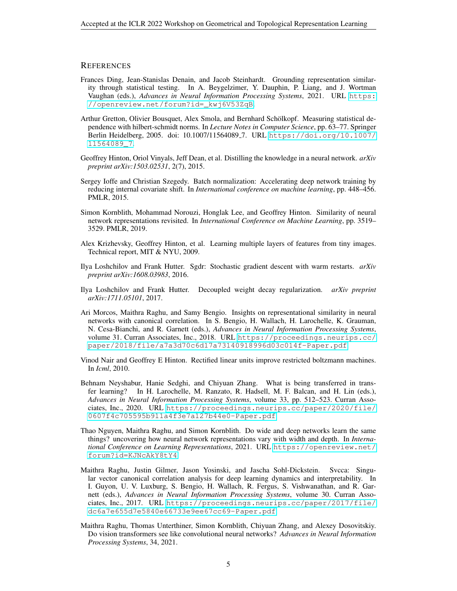### **REFERENCES**

- <span id="page-4-6"></span>Frances Ding, Jean-Stanislas Denain, and Jacob Steinhardt. Grounding representation similarity through statistical testing. In A. Beygelzimer, Y. Dauphin, P. Liang, and J. Wortman Vaughan (eds.), *Advances in Neural Information Processing Systems*, 2021. URL [https:](https://openreview.net/forum?id=_kwj6V53ZqB) [//openreview.net/forum?id=\\_kwj6V53ZqB](https://openreview.net/forum?id=_kwj6V53ZqB).
- <span id="page-4-7"></span>Arthur Gretton, Olivier Bousquet, Alex Smola, and Bernhard Schölkopf. Measuring statistical dependence with hilbert-schmidt norms. In *Lecture Notes in Computer Science*, pp. 63–77. Springer Berlin Heidelberg, 2005. doi: 10.1007/11564089 7. URL [https://doi.org/10.1007/](https://doi.org/10.1007/11564089_7) [11564089\\_7](https://doi.org/10.1007/11564089_7).
- <span id="page-4-9"></span>Geoffrey Hinton, Oriol Vinyals, Jeff Dean, et al. Distilling the knowledge in a neural network. *arXiv preprint arXiv:1503.02531*, 2(7), 2015.
- <span id="page-4-11"></span>Sergey Ioffe and Christian Szegedy. Batch normalization: Accelerating deep network training by reducing internal covariate shift. In *International conference on machine learning*, pp. 448–456. PMLR, 2015.
- <span id="page-4-0"></span>Simon Kornblith, Mohammad Norouzi, Honglak Lee, and Geoffrey Hinton. Similarity of neural network representations revisited. In *International Conference on Machine Learning*, pp. 3519– 3529. PMLR, 2019.
- <span id="page-4-8"></span>Alex Krizhevsky, Geoffrey Hinton, et al. Learning multiple layers of features from tiny images. Technical report, MIT & NYU, 2009.
- <span id="page-4-13"></span>Ilya Loshchilov and Frank Hutter. Sgdr: Stochastic gradient descent with warm restarts. *arXiv preprint arXiv:1608.03983*, 2016.
- <span id="page-4-12"></span>Ilya Loshchilov and Frank Hutter. Decoupled weight decay regularization. *arXiv preprint arXiv:1711.05101*, 2017.
- <span id="page-4-2"></span>Ari Morcos, Maithra Raghu, and Samy Bengio. Insights on representational similarity in neural networks with canonical correlation. In S. Bengio, H. Wallach, H. Larochelle, K. Grauman, N. Cesa-Bianchi, and R. Garnett (eds.), *Advances in Neural Information Processing Systems*, volume 31. Curran Associates, Inc., 2018. URL [https://proceedings.neurips.cc/](https://proceedings.neurips.cc/paper/2018/file/a7a3d70c6d17a73140918996d03c014f-Paper.pdf) [paper/2018/file/a7a3d70c6d17a73140918996d03c014f-Paper.pdf](https://proceedings.neurips.cc/paper/2018/file/a7a3d70c6d17a73140918996d03c014f-Paper.pdf).
- <span id="page-4-10"></span>Vinod Nair and Geoffrey E Hinton. Rectified linear units improve restricted boltzmann machines. In *Icml*, 2010.
- <span id="page-4-5"></span>Behnam Neyshabur, Hanie Sedghi, and Chiyuan Zhang. What is being transferred in transfer learning? In H. Larochelle, M. Ranzato, R. Hadsell, M. F. Balcan, and H. Lin (eds.), *Advances in Neural Information Processing Systems*, volume 33, pp. 512–523. Curran Associates, Inc., 2020. URL [https://proceedings.neurips.cc/paper/2020/file/](https://proceedings.neurips.cc/paper/2020/file/0607f4c705595b911a4f3e7a127b44e0-Paper.pdf) [0607f4c705595b911a4f3e7a127b44e0-Paper.pdf](https://proceedings.neurips.cc/paper/2020/file/0607f4c705595b911a4f3e7a127b44e0-Paper.pdf).
- <span id="page-4-3"></span>Thao Nguyen, Maithra Raghu, and Simon Kornblith. Do wide and deep networks learn the same things? uncovering how neural network representations vary with width and depth. In *International Conference on Learning Representations*, 2021. URL [https://openreview.net/](https://openreview.net/forum?id=KJNcAkY8tY4) [forum?id=KJNcAkY8tY4](https://openreview.net/forum?id=KJNcAkY8tY4).
- <span id="page-4-1"></span>Maithra Raghu, Justin Gilmer, Jason Yosinski, and Jascha Sohl-Dickstein. Svcca: Singular vector canonical correlation analysis for deep learning dynamics and interpretability. In I. Guyon, U. V. Luxburg, S. Bengio, H. Wallach, R. Fergus, S. Vishwanathan, and R. Garnett (eds.), *Advances in Neural Information Processing Systems*, volume 30. Curran Associates, Inc., 2017. URL [https://proceedings.neurips.cc/paper/2017/file/](https://proceedings.neurips.cc/paper/2017/file/dc6a7e655d7e5840e66733e9ee67cc69-Paper.pdf) [dc6a7e655d7e5840e66733e9ee67cc69-Paper.pdf](https://proceedings.neurips.cc/paper/2017/file/dc6a7e655d7e5840e66733e9ee67cc69-Paper.pdf).
- <span id="page-4-4"></span>Maithra Raghu, Thomas Unterthiner, Simon Kornblith, Chiyuan Zhang, and Alexey Dosovitskiy. Do vision transformers see like convolutional neural networks? *Advances in Neural Information Processing Systems*, 34, 2021.